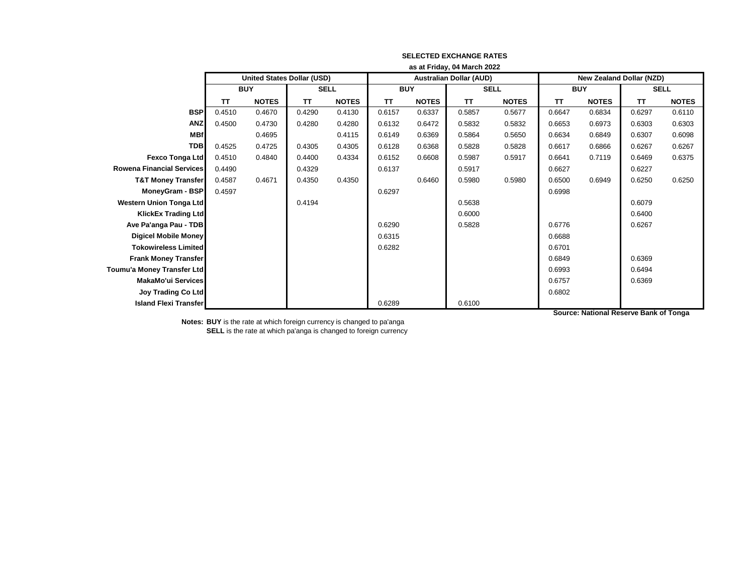|                                  | as at Friday, 04 March 2022       |              |             |              |                                |              |             |              |                                 |              |             |              |
|----------------------------------|-----------------------------------|--------------|-------------|--------------|--------------------------------|--------------|-------------|--------------|---------------------------------|--------------|-------------|--------------|
|                                  | <b>United States Dollar (USD)</b> |              |             |              | <b>Australian Dollar (AUD)</b> |              |             |              | <b>New Zealand Dollar (NZD)</b> |              |             |              |
|                                  | <b>BUY</b>                        |              | <b>SELL</b> |              | <b>BUY</b>                     |              | <b>SELL</b> |              | <b>BUY</b>                      |              | <b>SELL</b> |              |
|                                  | <b>TT</b>                         | <b>NOTES</b> | <b>TT</b>   | <b>NOTES</b> | <b>TT</b>                      | <b>NOTES</b> | <b>TT</b>   | <b>NOTES</b> | <b>TT</b>                       | <b>NOTES</b> | <b>TT</b>   | <b>NOTES</b> |
| <b>BSP</b>                       | 0.4510                            | 0.4670       | 0.4290      | 0.4130       | 0.6157                         | 0.6337       | 0.5857      | 0.5677       | 0.6647                          | 0.6834       | 0.6297      | 0.6110       |
| <b>ANZ</b>                       | 0.4500                            | 0.4730       | 0.4280      | 0.4280       | 0.6132                         | 0.6472       | 0.5832      | 0.5832       | 0.6653                          | 0.6973       | 0.6303      | 0.6303       |
| <b>MBf</b>                       |                                   | 0.4695       |             | 0.4115       | 0.6149                         | 0.6369       | 0.5864      | 0.5650       | 0.6634                          | 0.6849       | 0.6307      | 0.6098       |
| <b>TDB</b>                       | 0.4525                            | 0.4725       | 0.4305      | 0.4305       | 0.6128                         | 0.6368       | 0.5828      | 0.5828       | 0.6617                          | 0.6866       | 0.6267      | 0.6267       |
| <b>Fexco Tonga Ltd</b>           | 0.4510                            | 0.4840       | 0.4400      | 0.4334       | 0.6152                         | 0.6608       | 0.5987      | 0.5917       | 0.6641                          | 0.7119       | 0.6469      | 0.6375       |
| <b>Rowena Financial Services</b> | 0.4490                            |              | 0.4329      |              | 0.6137                         |              | 0.5917      |              | 0.6627                          |              | 0.6227      |              |
| <b>T&amp;T Money Transfer</b>    | 0.4587                            | 0.4671       | 0.4350      | 0.4350       |                                | 0.6460       | 0.5980      | 0.5980       | 0.6500                          | 0.6949       | 0.6250      | 0.6250       |
| <b>MoneyGram - BSP</b>           | 0.4597                            |              |             |              | 0.6297                         |              |             |              | 0.6998                          |              |             |              |
| <b>Western Union Tonga Ltd</b>   |                                   |              | 0.4194      |              |                                |              | 0.5638      |              |                                 |              | 0.6079      |              |
| <b>KlickEx Trading Ltd</b>       |                                   |              |             |              |                                |              | 0.6000      |              |                                 |              | 0.6400      |              |
| Ave Pa'anga Pau - TDB            |                                   |              |             |              | 0.6290                         |              | 0.5828      |              | 0.6776                          |              | 0.6267      |              |
| <b>Digicel Mobile Money</b>      |                                   |              |             |              | 0.6315                         |              |             |              | 0.6688                          |              |             |              |
| <b>Tokowireless Limited</b>      |                                   |              |             |              | 0.6282                         |              |             |              | 0.6701                          |              |             |              |
| <b>Frank Money Transfer</b>      |                                   |              |             |              |                                |              |             |              | 0.6849                          |              | 0.6369      |              |
| Toumu'a Money Transfer Ltd       |                                   |              |             |              |                                |              |             |              | 0.6993                          |              | 0.6494      |              |
| <b>MakaMo'ui Services</b>        |                                   |              |             |              |                                |              |             |              | 0.6757                          |              | 0.6369      |              |
| <b>Joy Trading Co Ltd</b>        |                                   |              |             |              |                                |              |             |              | 0.6802                          |              |             |              |
| <b>Island Flexi Transfer</b>     |                                   |              |             |              | 0.6289                         |              | 0.6100      |              |                                 |              |             |              |

## **SELECTED EXCHANGE RATES**

**Notes: BUY** is the rate at which foreign currency is changed to pa'anga **SELL** is the rate at which pa'anga is changed to foreign currency **Source: National Reserve Bank of Tonga**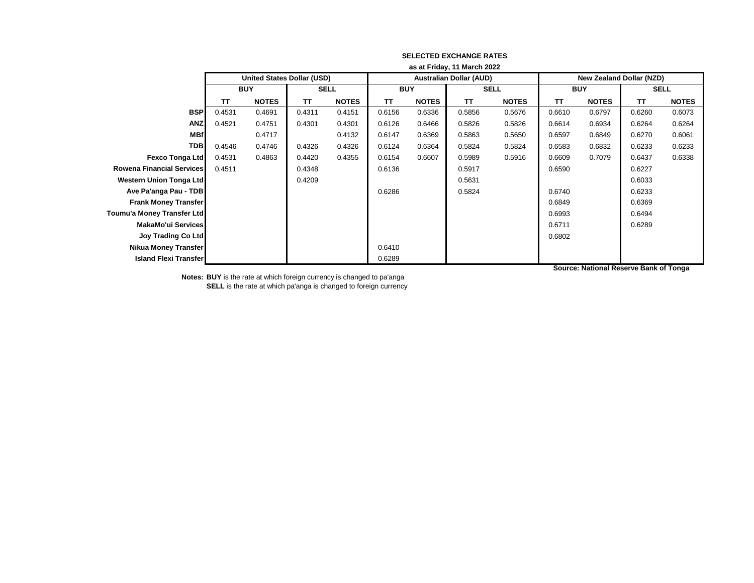|                                  | as at Friday, 11 March 2022 |                                   |             |              |            |              |                                |              |                                 |              |             |              |
|----------------------------------|-----------------------------|-----------------------------------|-------------|--------------|------------|--------------|--------------------------------|--------------|---------------------------------|--------------|-------------|--------------|
|                                  |                             | <b>United States Dollar (USD)</b> |             |              |            |              | <b>Australian Dollar (AUD)</b> |              | <b>New Zealand Dollar (NZD)</b> |              |             |              |
|                                  | <b>BUY</b>                  |                                   | <b>SELL</b> |              | <b>BUY</b> |              | <b>SELL</b>                    |              | <b>BUY</b>                      |              | <b>SELL</b> |              |
|                                  | <b>TT</b>                   | <b>NOTES</b>                      | TΤ          | <b>NOTES</b> | TΤ         | <b>NOTES</b> | <b>TT</b>                      | <b>NOTES</b> | TΤ                              | <b>NOTES</b> | TΤ          | <b>NOTES</b> |
| <b>BSP</b>                       | 0.4531                      | 0.4691                            | 0.4311      | 0.4151       | 0.6156     | 0.6336       | 0.5856                         | 0.5676       | 0.6610                          | 0.6797       | 0.6260      | 0.6073       |
| <b>ANZ</b>                       | 0.4521                      | 0.4751                            | 0.4301      | 0.4301       | 0.6126     | 0.6466       | 0.5826                         | 0.5826       | 0.6614                          | 0.6934       | 0.6264      | 0.6264       |
| <b>MBf</b>                       |                             | 0.4717                            |             | 0.4132       | 0.6147     | 0.6369       | 0.5863                         | 0.5650       | 0.6597                          | 0.6849       | 0.6270      | 0.6061       |
| <b>TDB</b>                       | 0.4546                      | 0.4746                            | 0.4326      | 0.4326       | 0.6124     | 0.6364       | 0.5824                         | 0.5824       | 0.6583                          | 0.6832       | 0.6233      | 0.6233       |
| <b>Fexco Tonga Ltd</b>           | 0.4531                      | 0.4863                            | 0.4420      | 0.4355       | 0.6154     | 0.6607       | 0.5989                         | 0.5916       | 0.6609                          | 0.7079       | 0.6437      | 0.6338       |
| <b>Rowena Financial Services</b> | 0.4511                      |                                   | 0.4348      |              | 0.6136     |              | 0.5917                         |              | 0.6590                          |              | 0.6227      |              |
| Western Union Tonga Ltd          |                             |                                   | 0.4209      |              |            |              | 0.5631                         |              |                                 |              | 0.6033      |              |
| Ave Pa'anga Pau - TDB            |                             |                                   |             |              | 0.6286     |              | 0.5824                         |              | 0.6740                          |              | 0.6233      |              |
| <b>Frank Money Transfer</b>      |                             |                                   |             |              |            |              |                                |              | 0.6849                          |              | 0.6369      |              |
| Toumu'a Money Transfer Ltd       |                             |                                   |             |              |            |              |                                |              | 0.6993                          |              | 0.6494      |              |
| MakaMo'ui Services               |                             |                                   |             |              |            |              |                                |              | 0.6711                          |              | 0.6289      |              |
| <b>Joy Trading Co Ltd</b>        |                             |                                   |             |              |            |              |                                |              | 0.6802                          |              |             |              |
| <b>Nikua Money Transfer</b>      |                             |                                   |             |              | 0.6410     |              |                                |              |                                 |              |             |              |
| <b>Island Flexi Transfer</b>     |                             |                                   |             |              | 0.6289     |              |                                |              |                                 |              |             |              |

## **SELECTED EXCHANGE RATES**

**Notes: BUY** is the rate at which foreign currency is changed to pa'anga **SELL** is the rate at which pa'anga is changed to foreign currency **Source: National Reserve Bank of Tonga**